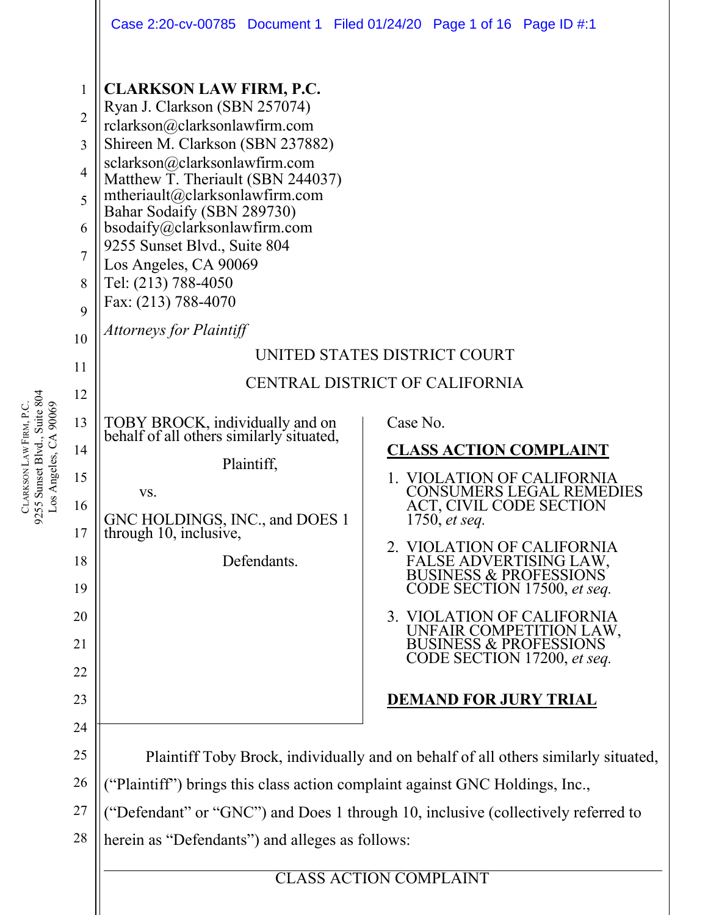|                                                                         | Case 2:20-cv-00785 Document 1 Filed 01/24/20 Page 1 of 16 Page ID #:1                                                                                                                                                                                                                                                                                                                                                                        |                                                                                                                                                                                                                                                                                                                                                                                                                                   |  |  |  |  |
|-------------------------------------------------------------------------|----------------------------------------------------------------------------------------------------------------------------------------------------------------------------------------------------------------------------------------------------------------------------------------------------------------------------------------------------------------------------------------------------------------------------------------------|-----------------------------------------------------------------------------------------------------------------------------------------------------------------------------------------------------------------------------------------------------------------------------------------------------------------------------------------------------------------------------------------------------------------------------------|--|--|--|--|
| $\mathbf{1}$<br>$\overline{2}$<br>3<br>4<br>5<br>6<br>7<br>8<br>9<br>10 | <b>CLARKSON LAW FIRM, P.C.</b><br>Ryan J. Clarkson (SBN 257074)<br>rclarkson@clarksonlawfirm.com<br>Shireen M. Clarkson (SBN 237882)<br>sclarkson@clarksonlawfirm.com<br>Matthew T. Theriault (SBN 244037)<br>mtheriault@clarksonlawfirm.com<br>Bahar Sodaify (SBN 289730)<br>bsodaify@clarksonlawfirm.com<br>9255 Sunset Blvd., Suite 804<br>Los Angeles, CA 90069<br>Tel: (213) 788-4050<br>Fax: (213) 788-4070<br>Attorneys for Plaintiff | UNITED STATES DISTRICT COURT                                                                                                                                                                                                                                                                                                                                                                                                      |  |  |  |  |
| 11                                                                      | CENTRAL DISTRICT OF CALIFORNIA                                                                                                                                                                                                                                                                                                                                                                                                               |                                                                                                                                                                                                                                                                                                                                                                                                                                   |  |  |  |  |
| 12<br>13<br>14<br>15<br>16<br>17<br>18<br>19<br>20<br>21<br>22<br>23    | TOBY BROCK, individually and on<br>behalf of all others similarly situated,<br>Plaintiff,<br>VS.<br>GNC HOLDINGS, INC., and DOES 1<br>through 10, inclusive,<br>Defendants.                                                                                                                                                                                                                                                                  | Case No.<br><b>CLASS ACTION COMPLAINT</b><br>1. VIOLATION OF CALIFORNIA<br>CONSUMERS LEGAL REMEDIES<br>ACT, CIVIL CODE SECTION<br>1750, <i>et seq.</i><br>2. VIOLATION OF CALIFORNIA<br>FALSE ADVERTISING LAW, BUSINESS & PROFESSIONS<br>CODE SECTION 17500, et seq.<br>3. VIOLATION OF CALIFORNIA<br>UNFAIR COMPETITION LAW,<br><b>BUSINESS &amp; PROFESSIONS</b><br>CODE SECTION 17200, et seq.<br><b>DEMAND FOR JURY TRIAL</b> |  |  |  |  |
| 24<br>25                                                                | Plaintiff Toby Brock, individually and on behalf of all others similarly situated,                                                                                                                                                                                                                                                                                                                                                           |                                                                                                                                                                                                                                                                                                                                                                                                                                   |  |  |  |  |
| 26                                                                      | "Plaintiff") brings this class action complaint against GNC Holdings, Inc.,                                                                                                                                                                                                                                                                                                                                                                  |                                                                                                                                                                                                                                                                                                                                                                                                                                   |  |  |  |  |
| 27                                                                      | "Defendant" or "GNC") and Does 1 through 10, inclusive (collectively referred to                                                                                                                                                                                                                                                                                                                                                             |                                                                                                                                                                                                                                                                                                                                                                                                                                   |  |  |  |  |
| 28                                                                      | herein as "Defendants") and alleges as follows:                                                                                                                                                                                                                                                                                                                                                                                              |                                                                                                                                                                                                                                                                                                                                                                                                                                   |  |  |  |  |
|                                                                         | <b>CLASS ACTION COMPLAINT</b>                                                                                                                                                                                                                                                                                                                                                                                                                |                                                                                                                                                                                                                                                                                                                                                                                                                                   |  |  |  |  |

CLARKSON LAW FIRM, P.C.<br>9255 Sunset Blvd., Suite 804<br>Los Angeles, CA 90069 9255 Sunset Blvd., Suite 804 LAW FIRM, P.C. Los Angeles, CA 90069 **CLARKSON**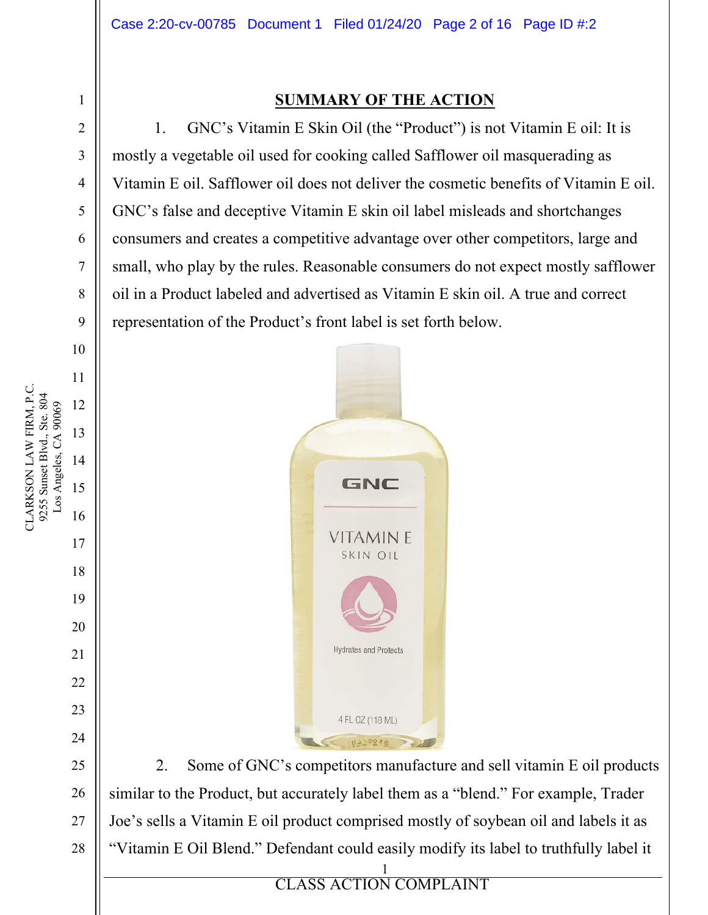## **SUMMARY OF THE ACTION**

1. GNC's Vitamin E Skin Oil (the "Product") is not Vitamin E oil: It is mostly a vegetable oil used for cooking called Safflower oil masquerading as Vitamin E oil. Safflower oil does not deliver the cosmetic benefits of Vitamin E oil. GNC's false and deceptive Vitamin E skin oil label misleads and shortchanges consumers and creates a competitive advantage over other competitors, large and small, who play by the rules. Reasonable consumers do not expect mostly safflower oil in a Product labeled and advertised as Vitamin E skin oil. A true and correct representation of the Product's front label is set forth below.



1 2. Some of GNC's competitors manufacture and sell vitamin E oil products similar to the Product, but accurately label them as a "blend." For example, Trader Joe's sells a Vitamin E oil product comprised mostly of soybean oil and labels it as "Vitamin E Oil Blend." Defendant could easily modify its label to truthfully label it

**ELASS ACTION** CLASS ACTION COMPLAINT

1

2

3

4

5

6

7

8

9

10

11

17

18

19

20

21

22

23

24

25

26

27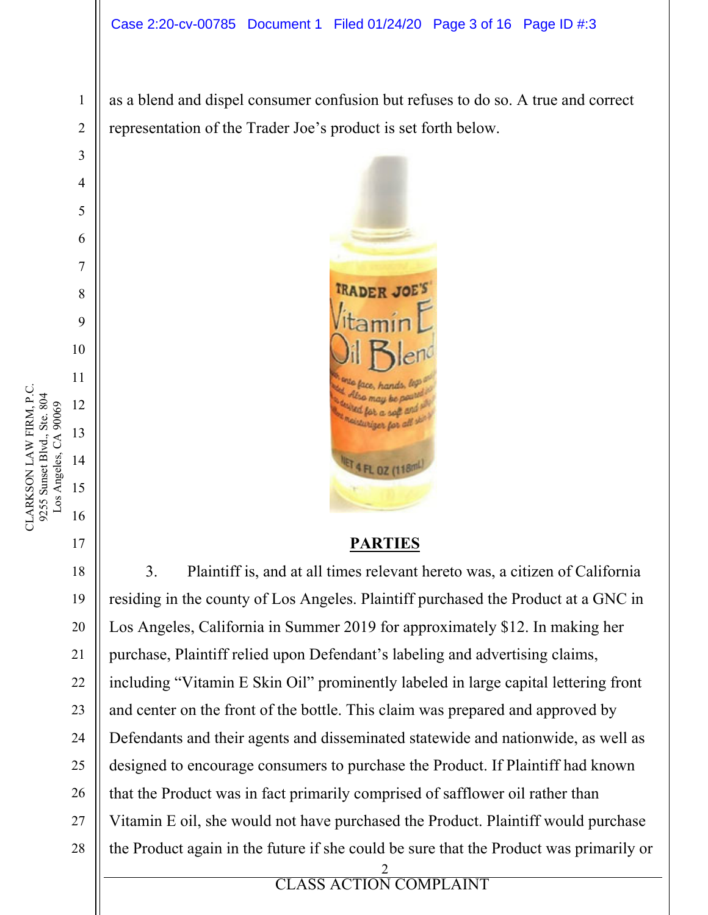as a blend and dispel consumer confusion but refuses to do so. A true and correct representation of the Trader Joe's product is set forth below.



## **PARTIES**

2 3. Plaintiff is, and at all times relevant hereto was, a citizen of California residing in the county of Los Angeles. Plaintiff purchased the Product at a GNC in Los Angeles, California in Summer 2019 for approximately \$12. In making her purchase, Plaintiff relied upon Defendant's labeling and advertising claims, including "Vitamin E Skin Oil" prominently labeled in large capital lettering front and center on the front of the bottle. This claim was prepared and approved by Defendants and their agents and disseminated statewide and nationwide, as well as designed to encourage consumers to purchase the Product. If Plaintiff had known that the Product was in fact primarily comprised of safflower oil rather than Vitamin E oil, she would not have purchased the Product. Plaintiff would purchase the Product again in the future if she could be sure that the Product was primarily or

1

2

3

4

5

6

7

8

9

10

11

17

18

19

20

21

22

23

24

25

26

27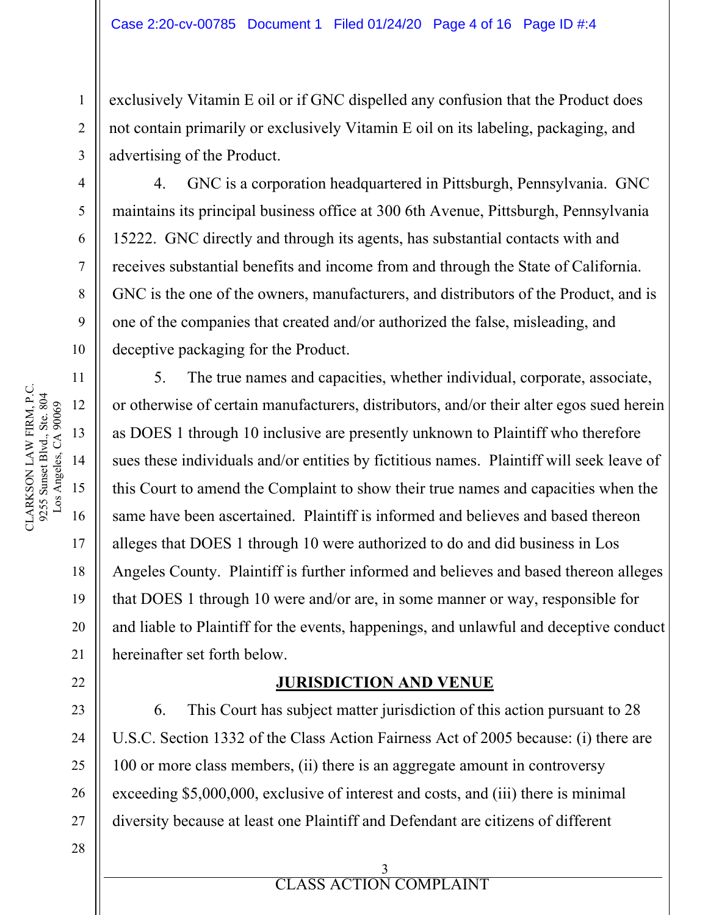exclusively Vitamin E oil or if GNC dispelled any confusion that the Product does not contain primarily or exclusively Vitamin E oil on its labeling, packaging, and advertising of the Product.

4. GNC is a corporation headquartered in Pittsburgh, Pennsylvania. GNC maintains its principal business office at 300 6th Avenue, Pittsburgh, Pennsylvania 15222. GNC directly and through its agents, has substantial contacts with and receives substantial benefits and income from and through the State of California. GNC is the one of the owners, manufacturers, and distributors of the Product, and is one of the companies that created and/or authorized the false, misleading, and deceptive packaging for the Product.

5. The true names and capacities, whether individual, corporate, associate, or otherwise of certain manufacturers, distributors, and/or their alter egos sued herein as DOES 1 through 10 inclusive are presently unknown to Plaintiff who therefore sues these individuals and/or entities by fictitious names. Plaintiff will seek leave of this Court to amend the Complaint to show their true names and capacities when the same have been ascertained. Plaintiff is informed and believes and based thereon alleges that DOES 1 through 10 were authorized to do and did business in Los Angeles County. Plaintiff is further informed and believes and based thereon alleges that DOES 1 through 10 were and/or are, in some manner or way, responsible for and liable to Plaintiff for the events, happenings, and unlawful and deceptive conduct hereinafter set forth below.

#### **JURISDICTION AND VENUE**

6. This Court has subject matter jurisdiction of this action pursuant to 28 U.S.C. Section 1332 of the Class Action Fairness Act of 2005 because: (i) there are 100 or more class members, (ii) there is an aggregate amount in controversy exceeding \$5,000,000, exclusive of interest and costs, and (iii) there is minimal diversity because at least one Plaintiff and Defendant are citizens of different

**ELASS ACTION** 3 CLASS ACTION COMPLAINT

1

2

3

4

5

6

7

8

9

10

11

17

18

19

20

21

22

23

24

25

26

27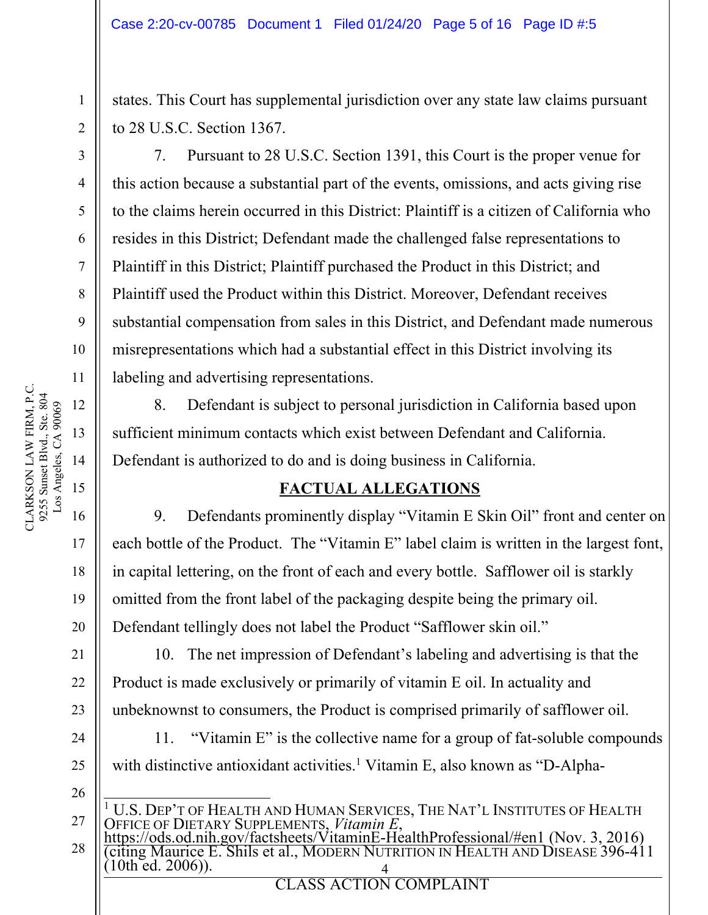states. This Court has supplemental jurisdiction over any state law claims pursuant to 28 U.S.C. Section 1367.

7. Pursuant to 28 U.S.C. Section 1391, this Court is the proper venue for this action because a substantial part of the events, omissions, and acts giving rise to the claims herein occurred in this District: Plaintiff is a citizen of California who resides in this District; Defendant made the challenged false representations to Plaintiff in this District; Plaintiff purchased the Product in this District; and Plaintiff used the Product within this District. Moreover, Defendant receives substantial compensation from sales in this District, and Defendant made numerous misrepresentations which had a substantial effect in this District involving its labeling and advertising representations.

8. Defendant is subject to personal jurisdiction in California based upon sufficient minimum contacts which exist between Defendant and California. Defendant is authorized to do and is doing business in California.

# **FACTUAL ALLEGATIONS**

9. Defendants prominently display "Vitamin E Skin Oil" front and center on each bottle of the Product. The "Vitamin E" label claim is written in the largest font, in capital lettering, on the front of each and every bottle. Safflower oil is starkly omitted from the front label of the packaging despite being the primary oil. Defendant tellingly does not label the Product "Safflower skin oil."

10. The net impression of Defendant's labeling and advertising is that the Product is made exclusively or primarily of vitamin E oil. In actuality and unbeknownst to consumers, the Product is comprised primarily of safflower oil.

11. "Vitamin E" is the collective name for a group of fat-soluble compounds with distinctive antioxidant activities.<sup>1</sup> Vitamin E, also known as "D-Alpha-

- <sup>1</sup> U.S. DEP'T OF HEALTH AND HUMAN SERVICES, THE NAT'L INSTITUTES OF HEALTH
- 28 4 OFFICE OF DIETARY SUPPLEMENTS, *Vitamin E, `*<br><u>https://ods.od.nih.gov/factsheets/VitaminE-HealthProfessional/#en1</u> (Nov. 3, 2016)<br>(citing Maurice E. Shils et al., MODERN NUTRITION IN HEALTH AND DISEASE 396-411  $(10th$  ed.  $2006)$ ).

1

2

3

4

5

6

7

8

9

10

17

18

19

20

21

22

23

24

25

26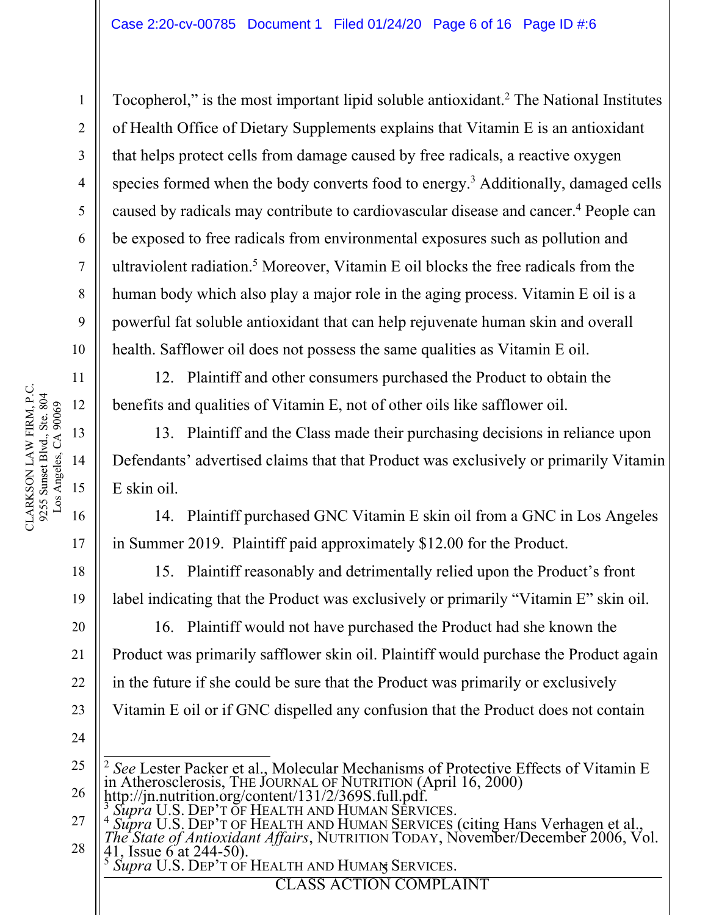Tocopherol," is the most important lipid soluble antioxidant.<sup>2</sup> The National Institutes of Health Office of Dietary Supplements explains that Vitamin E is an antioxidant that helps protect cells from damage caused by free radicals, a reactive oxygen species formed when the body converts food to energy.<sup>3</sup> Additionally, damaged cells caused by radicals may contribute to cardiovascular disease and cancer.<sup>4</sup> People can be exposed to free radicals from environmental exposures such as pollution and ultraviolent radiation.<sup>5</sup> Moreover, Vitamin E oil blocks the free radicals from the human body which also play a major role in the aging process. Vitamin E oil is a powerful fat soluble antioxidant that can help rejuvenate human skin and overall health. Safflower oil does not possess the same qualities as Vitamin E oil.

12. Plaintiff and other consumers purchased the Product to obtain the benefits and qualities of Vitamin E, not of other oils like safflower oil.

13. Plaintiff and the Class made their purchasing decisions in reliance upon Defendants' advertised claims that that Product was exclusively or primarily Vitamin E skin oil.

14. Plaintiff purchased GNC Vitamin E skin oil from a GNC in Los Angeles in Summer 2019. Plaintiff paid approximately \$12.00 for the Product.

15. Plaintiff reasonably and detrimentally relied upon the Product's front label indicating that the Product was exclusively or primarily "Vitamin E" skin oil.

16. Plaintiff would not have purchased the Product had she known the Product was primarily safflower skin oil. Plaintiff would purchase the Product again in the future if she could be sure that the Product was primarily or exclusively Vitamin E oil or if GNC dispelled any confusion that the Product does not contain

- 25 26 <sup>2</sup> *See* Lester Packer et al., Molecular Mechanisms of Protective Effects of Vitamin E in Atherosclerosis, THE JOURNAL OF NUTRITION (April 16, 2000)<br>http://jn.nutrition.org/content/131/2/369S.full.pdf.
	-

5 <sup>5</sup> *Supra* U.S. DEP'T OF HEALTH AND HUMAN SERVICES.

**EXPLORE ACTION COMPLAINT** 

1

2

3

4

5

6

7

8

9

10

11

17

18

19

20

21

22

23

<sup>27</sup> 28 <sup>3</sup> Supra U.S. DEP'T OF HEALTH AND HUMAN SERVICES.<br><sup>4</sup> Supra U.S. DEP'T OF HEALTH AND HUMAN SERVICES (citing Hans Verhagen et al., *The State of Antioxidant Affairs*, NUTRITION TODAY, November/December 2006, Vol. 41, Issue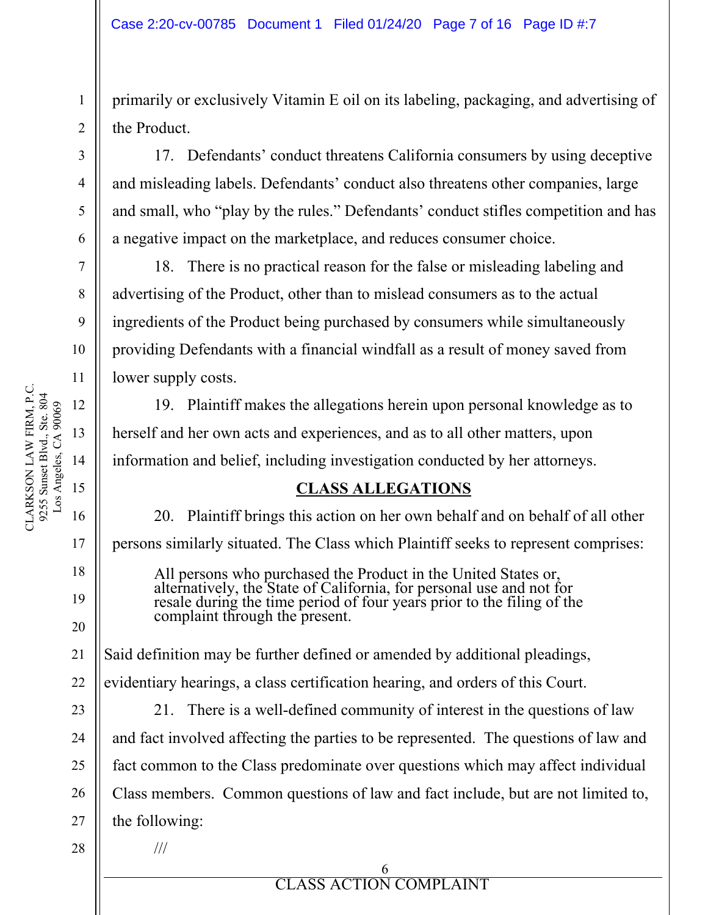primarily or exclusively Vitamin E oil on its labeling, packaging, and advertising of the Product.

17. Defendants' conduct threatens California consumers by using deceptive and misleading labels. Defendants' conduct also threatens other companies, large and small, who "play by the rules." Defendants' conduct stifles competition and has a negative impact on the marketplace, and reduces consumer choice.

18. There is no practical reason for the false or misleading labeling and advertising of the Product, other than to mislead consumers as to the actual ingredients of the Product being purchased by consumers while simultaneously providing Defendants with a financial windfall as a result of money saved from lower supply costs.

19. Plaintiff makes the allegations herein upon personal knowledge as to herself and her own acts and experiences, and as to all other matters, upon information and belief, including investigation conducted by her attorneys.

## **CLASS ALLEGATIONS**

20. Plaintiff brings this action on her own behalf and on behalf of all other persons similarly situated. The Class which Plaintiff seeks to represent comprises:

All persons who purchased the Product in the United States or, alternatively, the State of California, for personal use and not for resale during the time period of four years prior to the filing of the complaint through the present.

Said definition may be further defined or amended by additional pleadings,

evidentiary hearings, a class certification hearing, and orders of this Court.

21. There is a well-defined community of interest in the questions of law and fact involved affecting the parties to be represented. The questions of law and fact common to the Class predominate over questions which may affect individual Class members. Common questions of law and fact include, but are not limited to, the following:

///

**ELASS ACTION** 6 CLASS ACTION COMPLAINT

1

2

3

4

5

6

7

8

9

10

17

18

19

20

21

22

23

24

25

26

27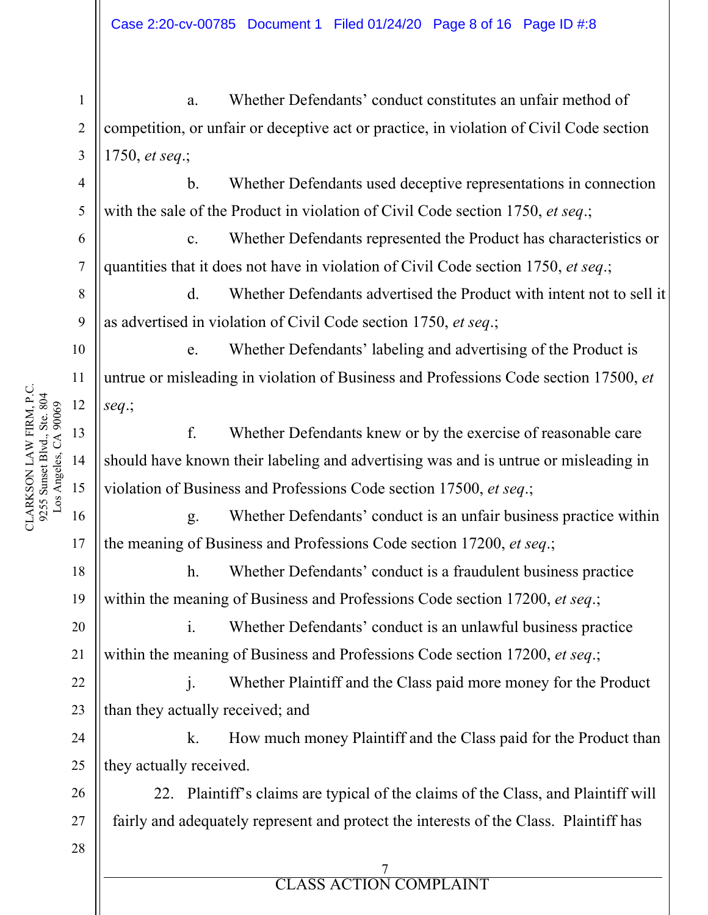a. Whether Defendants' conduct constitutes an unfair method of competition, or unfair or deceptive act or practice, in violation of Civil Code section 1750, *et seq*.;

b. Whether Defendants used deceptive representations in connection with the sale of the Product in violation of Civil Code section 1750, *et seq*.;

c. Whether Defendants represented the Product has characteristics or quantities that it does not have in violation of Civil Code section 1750, *et seq*.;

d. Whether Defendants advertised the Product with intent not to sell it as advertised in violation of Civil Code section 1750, *et seq*.;

e. Whether Defendants' labeling and advertising of the Product is untrue or misleading in violation of Business and Professions Code section 17500, *et seq*.;

f. Whether Defendants knew or by the exercise of reasonable care should have known their labeling and advertising was and is untrue or misleading in violation of Business and Professions Code section 17500, *et seq*.;

g. Whether Defendants' conduct is an unfair business practice within the meaning of Business and Professions Code section 17200, *et seq*.;

h. Whether Defendants' conduct is a fraudulent business practice within the meaning of Business and Professions Code section 17200, *et seq*.;

i. Whether Defendants' conduct is an unlawful business practice within the meaning of Business and Professions Code section 17200, *et seq*.;

j. Whether Plaintiff and the Class paid more money for the Product than they actually received; and

24 25 k. How much money Plaintiff and the Class paid for the Product than they actually received.

26 27 22. Plaintiff's claims are typical of the claims of the Class, and Plaintiff will fairly and adequately represent and protect the interests of the Class. Plaintiff has

**ELASS ACTION** 7 CLASS ACTION COMPLAINT

CLARKSON LAW FIRM, P.C. CLARKSON LAW FIRM, P.C.<br>9255 Sunset Blvd., Ste. 804<br>Los Angeles, CA 90069 9255 Sunset Blvd., Ste. 804 Los Angeles, CA 90069 12 13 14 15 16

1

2

3

4

5

6

7

8

9

10

11

17

18

19

20

21

22

23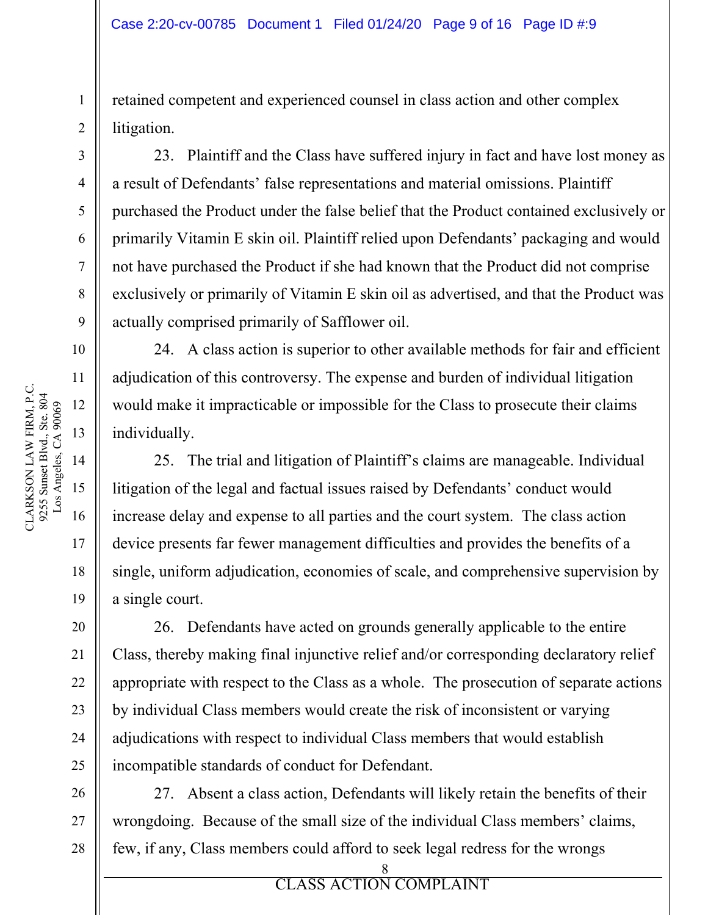retained competent and experienced counsel in class action and other complex litigation.

23. Plaintiff and the Class have suffered injury in fact and have lost money as a result of Defendants' false representations and material omissions. Plaintiff purchased the Product under the false belief that the Product contained exclusively or primarily Vitamin E skin oil. Plaintiff relied upon Defendants' packaging and would not have purchased the Product if she had known that the Product did not comprise exclusively or primarily of Vitamin E skin oil as advertised, and that the Product was actually comprised primarily of Safflower oil.

24. A class action is superior to other available methods for fair and efficient adjudication of this controversy. The expense and burden of individual litigation would make it impracticable or impossible for the Class to prosecute their claims individually.

25. The trial and litigation of Plaintiff's claims are manageable. Individual litigation of the legal and factual issues raised by Defendants' conduct would increase delay and expense to all parties and the court system. The class action device presents far fewer management difficulties and provides the benefits of a single, uniform adjudication, economies of scale, and comprehensive supervision by a single court.

26. Defendants have acted on grounds generally applicable to the entire Class, thereby making final injunctive relief and/or corresponding declaratory relief appropriate with respect to the Class as a whole. The prosecution of separate actions by individual Class members would create the risk of inconsistent or varying adjudications with respect to individual Class members that would establish incompatible standards of conduct for Defendant.

27. Absent a class action, Defendants will likely retain the benefits of their wrongdoing. Because of the small size of the individual Class members' claims, few, if any, Class members could afford to seek legal redress for the wrongs

> 8 CLASS ACTION COMPLAINT

**ELASS ACTION** 

1

2

3

4

5

6

7

8

9

10

11

17

18

19

20

21

22

23

24

25

26

27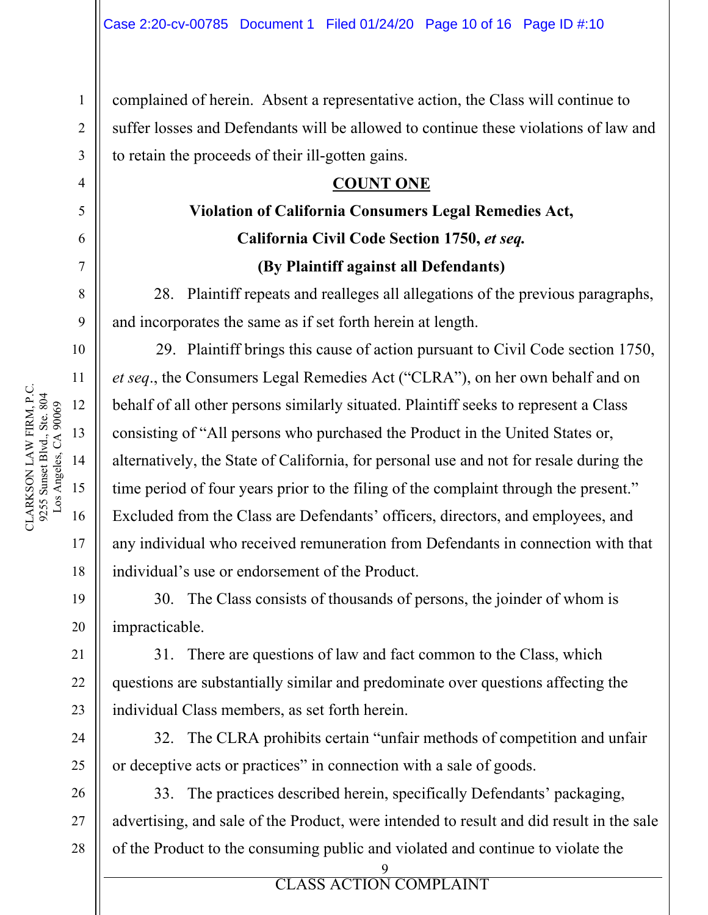complained of herein. Absent a representative action, the Class will continue to suffer losses and Defendants will be allowed to continue these violations of law and to retain the proceeds of their ill-gotten gains.

### **COUNT ONE**

# **Violation of California Consumers Legal Remedies Act, California Civil Code Section 1750,** *et seq.*  **(By Plaintiff against all Defendants)**

28. Plaintiff repeats and realleges all allegations of the previous paragraphs, and incorporates the same as if set forth herein at length.

29. Plaintiff brings this cause of action pursuant to Civil Code section 1750, *et seq*., the Consumers Legal Remedies Act ("CLRA"), on her own behalf and on behalf of all other persons similarly situated. Plaintiff seeks to represent a Class consisting of "All persons who purchased the Product in the United States or, alternatively, the State of California, for personal use and not for resale during the time period of four years prior to the filing of the complaint through the present." Excluded from the Class are Defendants' officers, directors, and employees, and any individual who received remuneration from Defendants in connection with that individual's use or endorsement of the Product.

30. The Class consists of thousands of persons, the joinder of whom is impracticable.

31. There are questions of law and fact common to the Class, which questions are substantially similar and predominate over questions affecting the individual Class members, as set forth herein.

32. The CLRA prohibits certain "unfair methods of competition and unfair or deceptive acts or practices" in connection with a sale of goods.

33. The practices described herein, specifically Defendants' packaging, advertising, and sale of the Product, were intended to result and did result in the sale of the Product to the consuming public and violated and continue to violate the

9

**EXPLORE ACTION COMPLAINT** 

1

2

3

4

5

6

7

8

9

10

11

17

18

19

20

21

22

23

24

25

26

27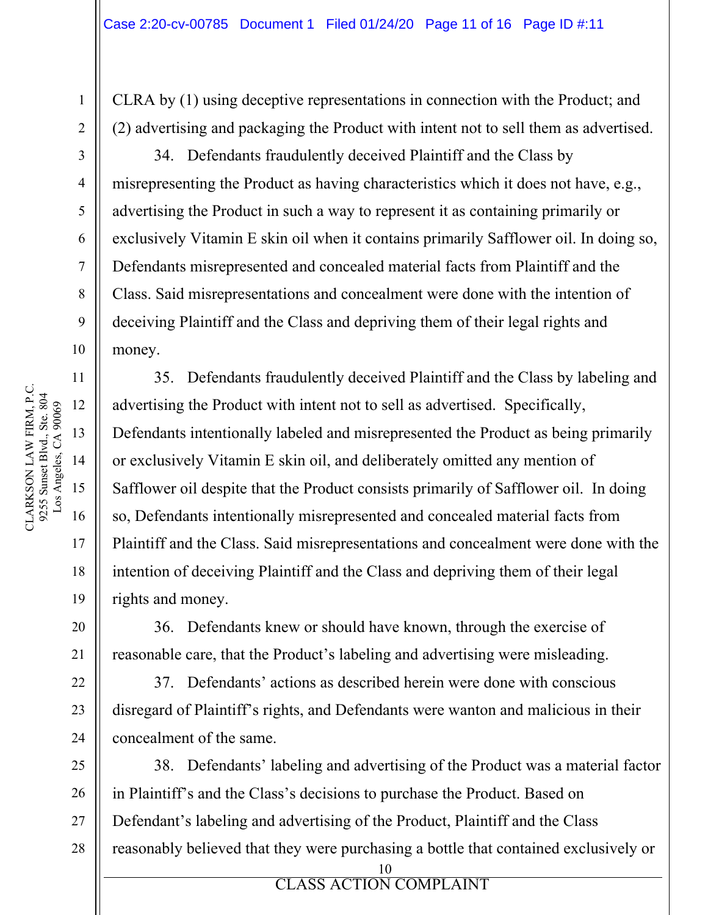CLRA by (1) using deceptive representations in connection with the Product; and (2) advertising and packaging the Product with intent not to sell them as advertised.

34. Defendants fraudulently deceived Plaintiff and the Class by misrepresenting the Product as having characteristics which it does not have, e.g., advertising the Product in such a way to represent it as containing primarily or exclusively Vitamin E skin oil when it contains primarily Safflower oil. In doing so, Defendants misrepresented and concealed material facts from Plaintiff and the Class. Said misrepresentations and concealment were done with the intention of deceiving Plaintiff and the Class and depriving them of their legal rights and money.

35. Defendants fraudulently deceived Plaintiff and the Class by labeling and advertising the Product with intent not to sell as advertised. Specifically, Defendants intentionally labeled and misrepresented the Product as being primarily or exclusively Vitamin E skin oil, and deliberately omitted any mention of Safflower oil despite that the Product consists primarily of Safflower oil. In doing so, Defendants intentionally misrepresented and concealed material facts from Plaintiff and the Class. Said misrepresentations and concealment were done with the intention of deceiving Plaintiff and the Class and depriving them of their legal rights and money.

36. Defendants knew or should have known, through the exercise of reasonable care, that the Product's labeling and advertising were misleading.

37. Defendants' actions as described herein were done with conscious disregard of Plaintiff's rights, and Defendants were wanton and malicious in their concealment of the same.

10 38. Defendants' labeling and advertising of the Product was a material factor in Plaintiff's and the Class's decisions to purchase the Product. Based on Defendant's labeling and advertising of the Product, Plaintiff and the Class reasonably believed that they were purchasing a bottle that contained exclusively or

#### ERROR **ELASS** ACTION CLASS ACTION COMPLAINT

1

2

3

4

5

6

7

8

9

10

11

17

18

19

20

21

22

23

24

25

26

27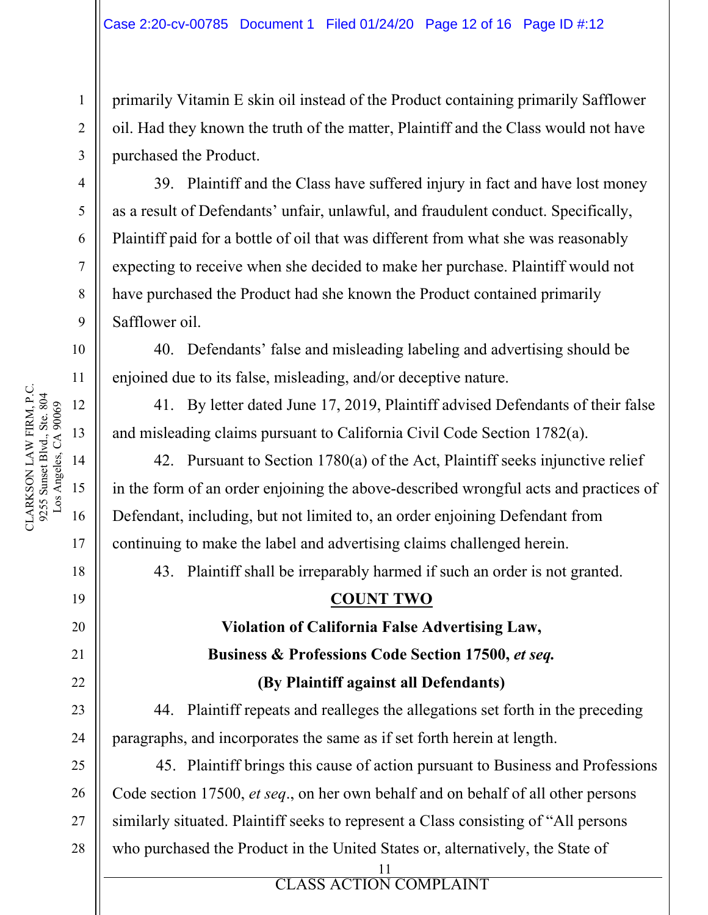primarily Vitamin E skin oil instead of the Product containing primarily Safflower oil. Had they known the truth of the matter, Plaintiff and the Class would not have purchased the Product.

39. Plaintiff and the Class have suffered injury in fact and have lost money as a result of Defendants' unfair, unlawful, and fraudulent conduct. Specifically, Plaintiff paid for a bottle of oil that was different from what she was reasonably expecting to receive when she decided to make her purchase. Plaintiff would not have purchased the Product had she known the Product contained primarily Safflower oil.

40. Defendants' false and misleading labeling and advertising should be enjoined due to its false, misleading, and/or deceptive nature.

41. By letter dated June 17, 2019, Plaintiff advised Defendants of their false and misleading claims pursuant to California Civil Code Section 1782(a).

42. Pursuant to Section 1780(a) of the Act, Plaintiff seeks injunctive relief in the form of an order enjoining the above-described wrongful acts and practices of Defendant, including, but not limited to, an order enjoining Defendant from continuing to make the label and advertising claims challenged herein.

43. Plaintiff shall be irreparably harmed if such an order is not granted.

## **COUNT TWO**

**Violation of California False Advertising Law, Business & Professions Code Section 17500,** *et seq.* 

**(By Plaintiff against all Defendants)** 

44. Plaintiff repeats and realleges the allegations set forth in the preceding paragraphs, and incorporates the same as if set forth herein at length.

45. Plaintiff brings this cause of action pursuant to Business and Professions Code section 17500, *et seq*., on her own behalf and on behalf of all other persons similarly situated. Plaintiff seeks to represent a Class consisting of "All persons who purchased the Product in the United States or, alternatively, the State of

ERROR **ELASS** ACTION 11 CLASS ACTION COMPLAINT

1

2

3

4

5

6

7

8

9

10

11

17

18

19

20

21

22

23

24

25

26

27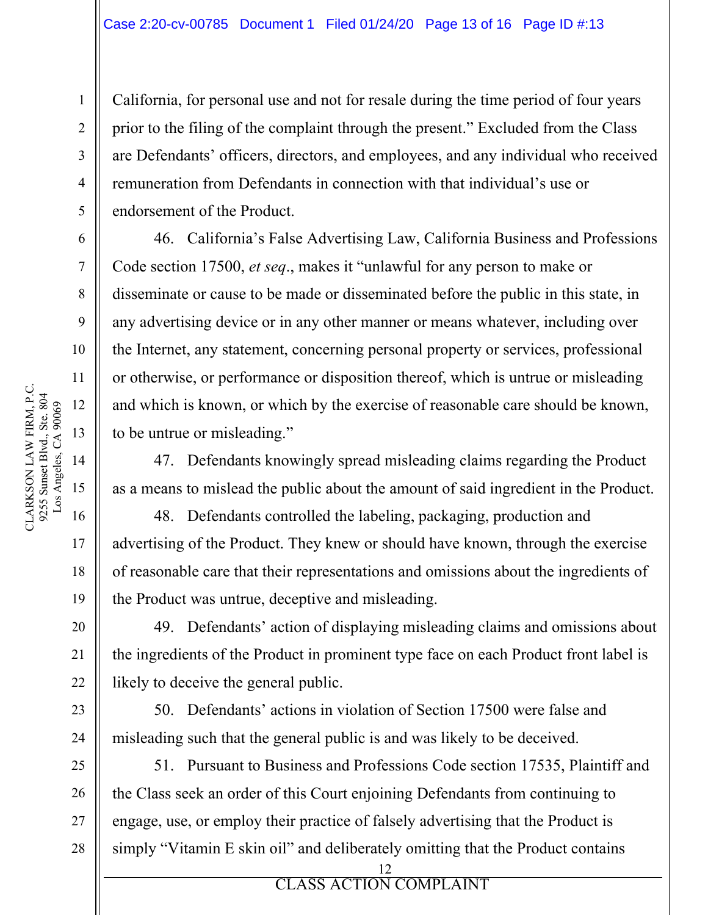California, for personal use and not for resale during the time period of four years prior to the filing of the complaint through the present." Excluded from the Class are Defendants' officers, directors, and employees, and any individual who received remuneration from Defendants in connection with that individual's use or endorsement of the Product.

46. California's False Advertising Law, California Business and Professions Code section 17500, *et seq*., makes it "unlawful for any person to make or disseminate or cause to be made or disseminated before the public in this state, in any advertising device or in any other manner or means whatever, including over the Internet, any statement, concerning personal property or services, professional or otherwise, or performance or disposition thereof, which is untrue or misleading and which is known, or which by the exercise of reasonable care should be known, to be untrue or misleading."

47. Defendants knowingly spread misleading claims regarding the Product as a means to mislead the public about the amount of said ingredient in the Product.

48. Defendants controlled the labeling, packaging, production and advertising of the Product. They knew or should have known, through the exercise of reasonable care that their representations and omissions about the ingredients of the Product was untrue, deceptive and misleading.

49. Defendants' action of displaying misleading claims and omissions about the ingredients of the Product in prominent type face on each Product front label is likely to deceive the general public.

50. Defendants' actions in violation of Section 17500 were false and misleading such that the general public is and was likely to be deceived.

51. Pursuant to Business and Professions Code section 17535, Plaintiff and the Class seek an order of this Court enjoining Defendants from continuing to engage, use, or employ their practice of falsely advertising that the Product is simply "Vitamin E skin oil" and deliberately omitting that the Product contains

> 12 CLASS ACTION COMPLAINT

ERROR **ELASS** ACTION

1

2

3

4

5

6

7

8

9

10

17

18

19

20

21

22

23

24

25

26

27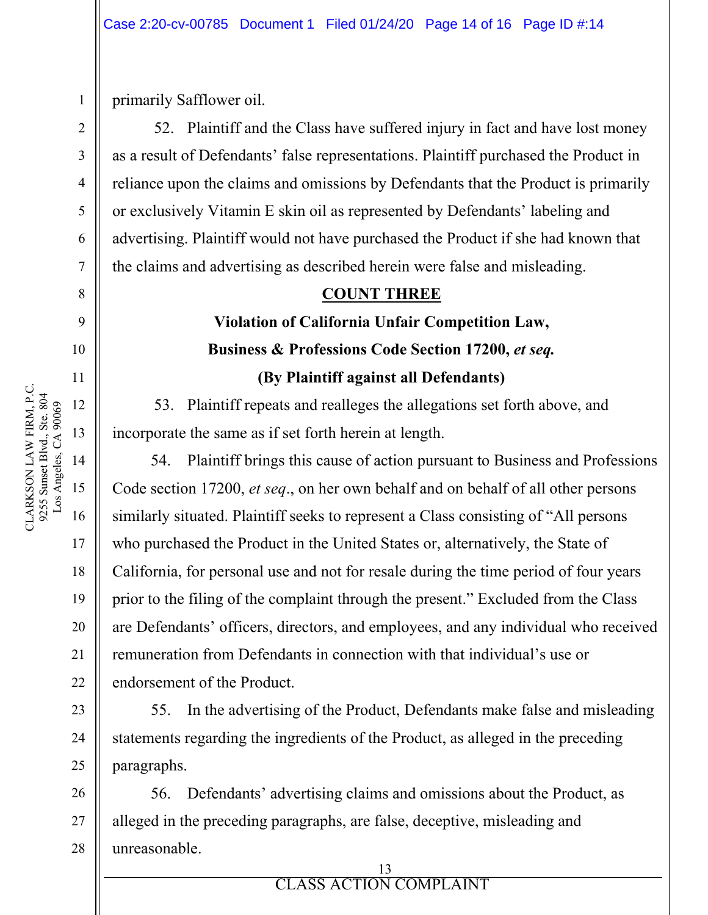primarily Safflower oil.

1

2

3

4

5

6

7

8

9

10

11

13

14

16

17

18

19

20

21

22

23

24

25

52. Plaintiff and the Class have suffered injury in fact and have lost money as a result of Defendants' false representations. Plaintiff purchased the Product in reliance upon the claims and omissions by Defendants that the Product is primarily or exclusively Vitamin E skin oil as represented by Defendants' labeling and advertising. Plaintiff would not have purchased the Product if she had known that the claims and advertising as described herein were false and misleading.

## **COUNT THREE**

# **Violation of California Unfair Competition Law,**  Business & Professions Code Section 17200, *et seq.* **(By Plaintiff against all Defendants)**

53. Plaintiff repeats and realleges the allegations set forth above, and incorporate the same as if set forth herein at length.

54. Plaintiff brings this cause of action pursuant to Business and Professions Code section 17200, *et seq*., on her own behalf and on behalf of all other persons similarly situated. Plaintiff seeks to represent a Class consisting of "All persons who purchased the Product in the United States or, alternatively, the State of California, for personal use and not for resale during the time period of four years prior to the filing of the complaint through the present." Excluded from the Class are Defendants' officers, directors, and employees, and any individual who received remuneration from Defendants in connection with that individual's use or endorsement of the Product.

55. In the advertising of the Product, Defendants make false and misleading statements regarding the ingredients of the Product, as alleged in the preceding paragraphs.

> 13 CLASS ACTION COMPLAINT

26 27 28 56. Defendants' advertising claims and omissions about the Product, as alleged in the preceding paragraphs, are false, deceptive, misleading and unreasonable.

ERROR **ELASS** ACTION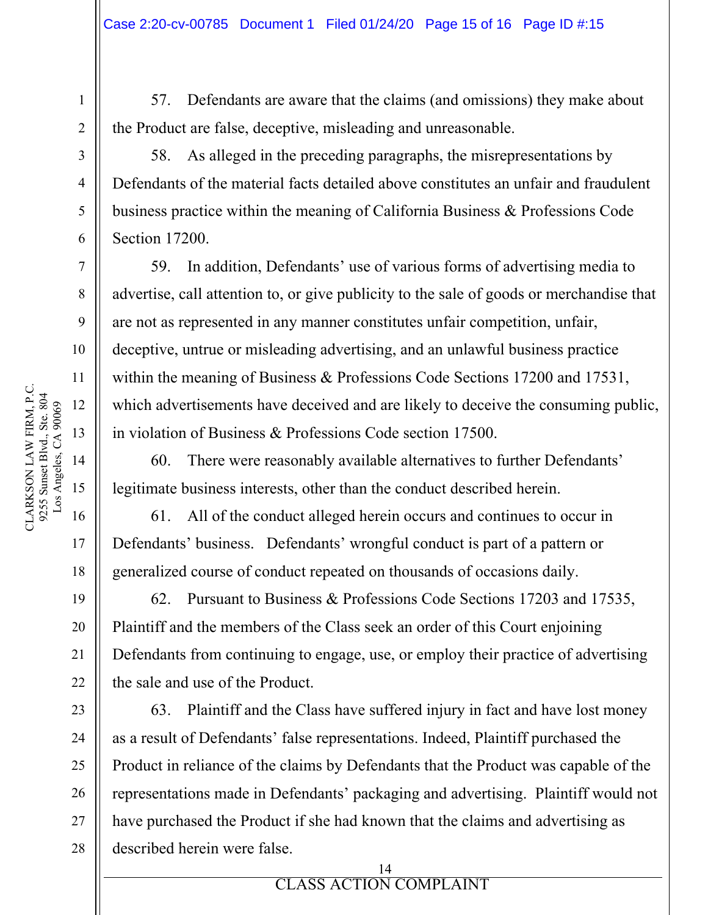57. Defendants are aware that the claims (and omissions) they make about the Product are false, deceptive, misleading and unreasonable.

58. As alleged in the preceding paragraphs, the misrepresentations by Defendants of the material facts detailed above constitutes an unfair and fraudulent business practice within the meaning of California Business & Professions Code Section 17200.

59. In addition, Defendants' use of various forms of advertising media to advertise, call attention to, or give publicity to the sale of goods or merchandise that are not as represented in any manner constitutes unfair competition, unfair, deceptive, untrue or misleading advertising, and an unlawful business practice within the meaning of Business & Professions Code Sections 17200 and 17531, which advertisements have deceived and are likely to deceive the consuming public, in violation of Business & Professions Code section 17500.

60. There were reasonably available alternatives to further Defendants' legitimate business interests, other than the conduct described herein.

61. All of the conduct alleged herein occurs and continues to occur in Defendants' business. Defendants' wrongful conduct is part of a pattern or generalized course of conduct repeated on thousands of occasions daily.

62. Pursuant to Business & Professions Code Sections 17203 and 17535, Plaintiff and the members of the Class seek an order of this Court enjoining Defendants from continuing to engage, use, or employ their practice of advertising the sale and use of the Product.

63. Plaintiff and the Class have suffered injury in fact and have lost money as a result of Defendants' false representations. Indeed, Plaintiff purchased the Product in reliance of the claims by Defendants that the Product was capable of the representations made in Defendants' packaging and advertising. Plaintiff would not have purchased the Product if she had known that the claims and advertising as described herein were false.

1

2

3

4

5

6

7

8

9

10